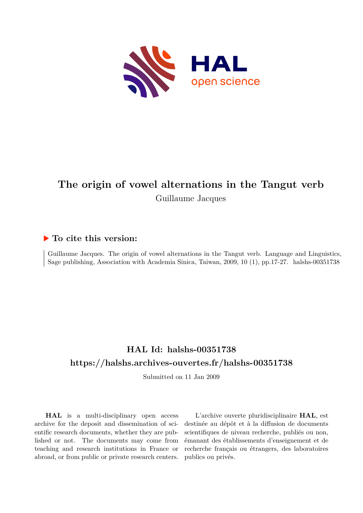

# **The origin of vowel alternations in the Tangut verb** Guillaume Jacques

## **To cite this version:**

Guillaume Jacques. The origin of vowel alternations in the Tangut verb. Language and Linguistics, Sage publishing, Association with Academia Sinica, Taiwan, 2009, 10 (1), pp.17-27. halshs-00351738

## **HAL Id: halshs-00351738 <https://halshs.archives-ouvertes.fr/halshs-00351738>**

Submitted on 11 Jan 2009

**HAL** is a multi-disciplinary open access archive for the deposit and dissemination of scientific research documents, whether they are published or not. The documents may come from teaching and research institutions in France or abroad, or from public or private research centers.

L'archive ouverte pluridisciplinaire **HAL**, est destinée au dépôt et à la diffusion de documents scientifiques de niveau recherche, publiés ou non, émanant des établissements d'enseignement et de recherche français ou étrangers, des laboratoires publics ou privés.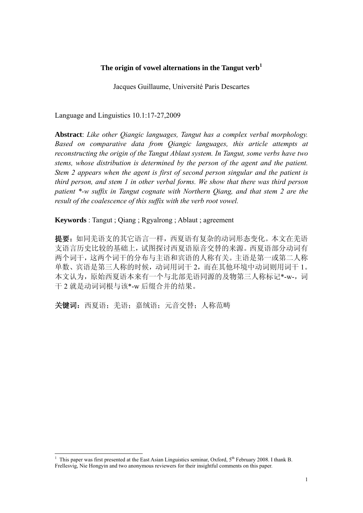#### **The origin of vowel alternations in the Tangut verb<sup>1</sup>**

Jacques Guillaume, Université Paris Descartes

Language and Linguistics 10.1:17-27,2009

**Abstract**: *Like other Qiangic languages, Tangut has a complex verbal morphology. Based on comparative data from Qiangic languages, this article attempts at reconstructing the origin of the Tangut Ablaut system. In Tangut, some verbs have two stems, whose distribution is determined by the person of the agent and the patient. Stem 2 appears when the agent is first of second person singular and the patient is third person, and stem 1 in other verbal forms. We show that there was third person patient \*-w suffix in Tangut cognate with Northern Qiang, and that stem 2 are the result of the coalescence of this suffix with the verb root vowel.* 

**Keywords** : Tangut ; Qiang ; Rgyalrong ; Ablaut ; agreement

提要:如同羌语支的其它语言一样,西夏语有复杂的动词形态变化。本文在羌语 支语言历史比较的基础上,试图探讨西夏语原音交替的来源。西夏语部分动词有 两个词干,这两个词干的分布与主语和宾语的人称有关。主语是第一或第二人称 单数、宾语是第三人称的时候,动词用词干 2,而在其他环境中动词则用词干 1。 本文认为,原始西夏语本来有一个与北部羌语同源的及物第三人称标记\*-w-,词 干 2 就是动词词根与该\*-w 后缀合并的结果。

关键词: 西夏语;羌语;嘉绒语;元音交替;人称范畴

<u>.</u>

<sup>&</sup>lt;sup>1</sup> This paper was first presented at the East Asian Linguistics seminar, Oxford, 5<sup>th</sup> February 2008. I thank B. Frellesvig, Nie Hongyin and two anonymous reviewers for their insightful comments on this paper.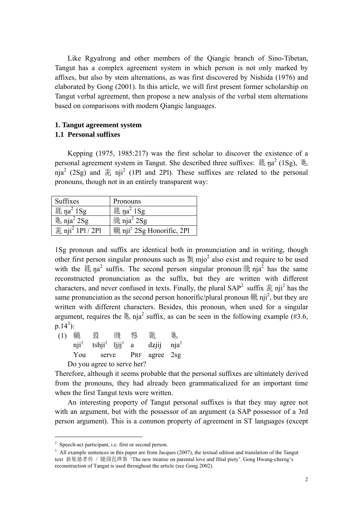Like Rgyalrong and other members of the Qiangic branch of Sino-Tibetan, Tangut has a complex agreement system in which person is not only marked by affixes, but also by stem alternations, as was first discovered by Nishida (1976) and elaborated by Gong (2001). In this article, we will first present former scholarship on Tangut verbal agreement, then propose a new analysis of the verbal stem alternations based on comparisons with modern Qiangic languages.

#### **1. Tangut agreement system**

#### **1.1 Personal suffixes**

Kepping (1975, 1985:217) was the first scholar to discover the existence of a personal agreement system in Tangut. She described three suffixes:  $\Re$  na<sup>2</sup> (1Sg),  $\Re$ nja<sup>2</sup> (2Sg) and  $\ddot{\mathcal{R}}$  nji<sup>2</sup> (1Pl and 2Pl). These suffixes are related to the personal pronouns, though not in an entirely transparent way:

| Suffixes                                                  | Pronouns                                              |
|-----------------------------------------------------------|-------------------------------------------------------|
| $\text{\AA}$ na <sup>2</sup> 1Sg                          | $\text{\AA}$ na <sup>2</sup> 1Sg                      |
| $\&$ nja <sup>2</sup> 2Sg                                 | $\ddot{\text{m}}$ nja <sup>2</sup> 2Sg                |
| $\overline{\hat{\mathcal{R}}}$ nji <sup>2</sup> 1Pl / 2Pl | $\ddot{\text{m}}$ nji <sup>2</sup> 2Sg Honorific, 2Pl |

1Sg pronoun and suffix are identical both in pronunciation and in writing, though other first person singular pronouns such as  $\overline{\mathcal{R}}$  mjo<sup>2</sup> also exist and require to be used with the  $\Im$  ma<sub>2</sub><sup>2</sup> suffix. The second person singular pronoun  $\Im$  ma<sub>1</sub><sup>2</sup> has the same reconstructed pronunciation as the suffix, but they are written with different characters, and never confused in texts. Finally, the plural  $SAP<sup>2</sup>$  suffix  $\ddot{\mathcal{Z}}$  nji<sup>2</sup> has the same pronunciation as the second person honorific/plural pronoun  $\ddot{m}$  nji<sup>2</sup>, but they are written with different characters. Besides, this pronoun, when used for a singular argument, requires the  $\&$  nja<sup>2</sup> suffix, as can be seen in the following example (#3.6,  $p.14^3$ :

| (1) | 禰   | 霚                                                     | 形 けいじょう | 夥 | 豧                         | 队 |
|-----|-----|-------------------------------------------------------|---------|---|---------------------------|---|
|     |     | $\text{nji}^2$ tshji <sup>2</sup> ljij <sup>1</sup> a |         |   | $dz$ jij nja <sup>2</sup> |   |
|     | You |                                                       |         |   | serve PRF agree 2sg       |   |
|     |     | Do you agree to serve her?                            |         |   |                           |   |

Therefore, although it seems probable that the personal suffixes are ultimately derived from the pronouns, they had already been grammaticalized for an important time when the first Tangut texts were written.

 An interesting property of Tangut personal suffixes is that they may agree not with an argument, but with the possessor of an argument (a SAP possessor of a 3rd person argument). This is a common property of agreement in ST languages (except

<u>.</u>

<sup>&</sup>lt;sup>2</sup> Speech-act participant, i.e. first or second person.

<sup>&</sup>lt;sup>3</sup> All example sentences in this paper are from Jacques (2007), the textual edition and translation of the Tangut text 新集慈孝传 / 隧商范經猜 'The new treatise on parental love and filial piety'. Gong Hwang-cherng's reconstruction of Tangut is used throughout the article (see Gong 2002).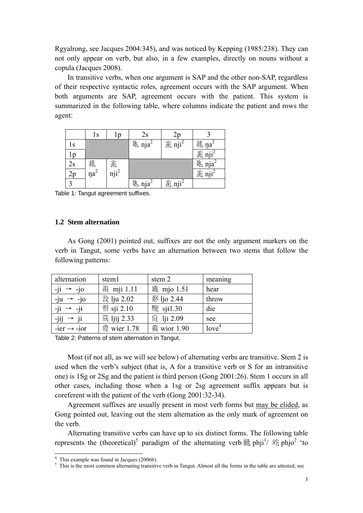Rgyalrong, see Jacques 2004:345), and was noticed by Kepping (1985:238). They can not only appear on verb, but also, in a few examples, directly on nouns without a copula (Jacques 2008).

In transitive verbs, when one argument is SAP and the other non-SAP, regardless of their respective syntactic roles, agreement occurs with the SAP argument. When both arguments are SAP, agreement occurs with the patient. This system is summarized in the following table, where columns indicate the patient and rows the agent:

|     | ls                   | l p                   | 2s                            |                    |                                |
|-----|----------------------|-----------------------|-------------------------------|--------------------|--------------------------------|
| 1s  |                      |                       | $%$ nja <sup>2</sup>          | 葱 nji <sup>2</sup> | $\text{\#}$ ŋa <sup>2</sup>    |
| l p |                      |                       |                               |                    | 葱 nji <sup>2</sup>             |
| 2s  | 猛<br>ŋa <sup>2</sup> | 葱<br>nji <sup>2</sup> |                               |                    | $%$ nja <sup>2</sup>           |
|     |                      |                       |                               |                    | $\overline{\text{nji}}^2$<br>菀 |
|     |                      |                       | $\mathbb{K}$ nja <sup>2</sup> | 葱 nji <sup>2</sup> |                                |

Table 1: Tangut agreement suffixes.

#### **1.2 Stem alternation**

As Gong (2001) pointed out, suffixes are not the only argument markers on the verb in Tangut, some verbs have an alternation between two stems that follow the following patterns:

| alternation             | stem1              | stem 2              | meaning           |
|-------------------------|--------------------|---------------------|-------------------|
| $-ji \rightarrow -jo$   | 義 mji 1.11         | <b>« mjo 1.51</b>   | hear              |
| $-iu \rightarrow -io$   | 数 lju 2.02         | <b>想</b> ljo 2.44   | throw             |
| $-ji \rightarrow -ji$   | <b>14</b> sji 2.10 | <b>靴</b> sji1.30    | die               |
| $-jij \rightarrow ji$   | <b>筱 ljij 2.33</b> | <b>蔵</b> lji 2.09   | see               |
| $-ier \rightarrow -ior$ | <b>霞</b> wier 1.78 | <b> 燕 wior 1.90</b> | love <sup>4</sup> |

Table 2: Patterns of stem alternation in Tangut.

Most (if not all, as we will see below) of alternating verbs are transitive. Stem 2 is used when the verb's subject (that is, A for a transitive verb or S for an intransitive one) is 1Sg or 2Sg and the patient is third person (Gong 2001:26). Stem 1 occurs in all other cases, including those when a 1sg or 2sg agreement suffix appears but is coreferent with the patient of the verb (Gong 2001:32-34).

Agreement suffixes are usually present in most verb forms but may be elided, as Gong pointed out, leaving out the stem alternation as the only mark of agreement on the verb.

Alternating transitive verbs can have up to six distinct forms. The following table represents the (theoretical)<sup>5</sup> paradigm of the alternating verb  $\mathbb{\tilde{M}}$  phji<sup>1</sup>/  $\mathbb{\tilde{R}}$  phjo<sup>2</sup> 'to

<u>.</u>

<sup>4</sup> This example was found in Jacques (2006b).

 $<sup>5</sup>$  This is the most common alternating transitive verb in Tangut. Almost all the forms in the table are attested; see</sup>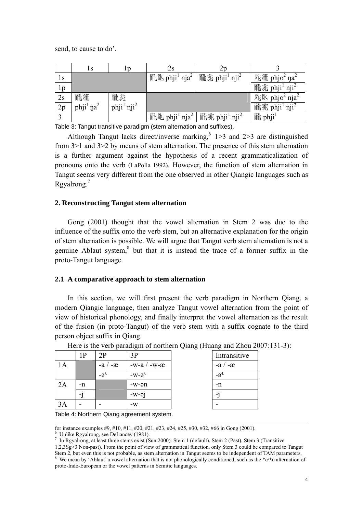send, to cause to do'.

|    | 1s                      | 1p                                 | 2s                                                           | 2p                                    |                                                        |
|----|-------------------------|------------------------------------|--------------------------------------------------------------|---------------------------------------|--------------------------------------------------------|
| 1s |                         |                                    | $\mathbb{R}$ $\mathbb{K}$ phji <sup>1</sup> nja <sup>2</sup> | 祝苑 phji <sup>1</sup> nji <sup>2</sup> | $\bar{\mathbb{R}}$ 犹 phjo <sup>2</sup> ŋa <sup>2</sup> |
| 1p |                         |                                    |                                                              |                                       | 祝苑 phji1 nji <sup>2</sup>                              |
| 2s | <b>福</b> 猫              | 态                                  |                                                              |                                       | $\bar{R}$ $\&$ phjo <sup>2</sup> nja <sup>2</sup>      |
| 2p | $phji1$ na <sup>2</sup> | phji <sup>1</sup> nji <sup>2</sup> |                                                              |                                       | 祝范 phji <sup>1</sup> nji <sup>2</sup>                  |
|    |                         |                                    | 福 » phji <sup>1</sup> nja <sup>2</sup>                       | 祝苑 phji <sup>1</sup> nji <sup>2</sup> | <b>iii</b> phji                                        |

Table 3: Tangut transitive paradigm (stem alternation and suffixes).

Although Tangut lacks direct/inverse marking,  $6$  1>3 and 2>3 are distinguished from 3>1 and 3>2 by means of stem alternation. The presence of this stem alternation is a further argument against the hypothesis of a recent grammaticalization of pronouns onto the verb (LaPolla 1992). However, the function of stem alternation in Tangut seems very different from the one observed in other Qiangic languages such as Rgyalrong.<sup>7</sup>

#### **2. Reconstructing Tangut stem alternation**

Gong (2001) thought that the vowel alternation in Stem 2 was due to the influence of the suffix onto the verb stem, but an alternative explanation for the origin of stem alternation is possible. We will argue that Tangut verb stem alternation is not a genuine Ablaut system,<sup>8</sup> but that it is instead the trace of a former suffix in the proto-Tangut language.

#### **2.1 A comparative approach to stem alternation**

In this section, we will first present the verb paradigm in Northern Qiang, a modern Qiangic language, then analyze Tangut vowel alternation from the point of view of historical phonology, and finally interpret the vowel alternation as the result of the fusion (in proto-Tangut) of the verb stem with a suffix cognate to the third person object suffix in Qiang.

|    | 1 P | 2P        | 3P                | Intransitive   |
|----|-----|-----------|-------------------|----------------|
| Α  |     | $-a / -x$ | -w-a $/$ -w-æ     | $-a / -x$      |
|    |     | $-a^{t}$  | $-W-L$            | $-\vartheta^L$ |
| 2A | -n  |           | -w-ən             | $-n$           |
|    | - 1 |           | $-w$ - $\alpha$ j |                |
| 3A |     |           | $-W$              |                |

Here is the verb paradigm of northern Qiang (Huang and Zhou 2007:131-3):

Table 4: Northern Qiang agreement system.

for instance examples #9, #10, #11, #20, #21, #23, #24, #25, #30, #32, #66 in Gong (2001). 6

 $6$  Unlike Rgyalrong, see DeLancey (1981).

<sup>7</sup> In Rgyalrong, at least three stems exist (Sun 2000): Stem 1 (default), Stem 2 (Past), Stem 3 (Transitive

<sup>1,2,3</sup>Sg>3 Non-past). From the point of view of grammatical function, only Stem 3 could be compared to Tangut Stem 2, but even this is not probable, as stem alternation in Tangut seems to be independent of TAM parameters. <sup>8</sup> We mean by 'Ablaut' a vowel alternation that is not phonologically conditioned, such as the \*e/\*o alternation of

proto-Indo-European or the vowel patterns in Semitic languages.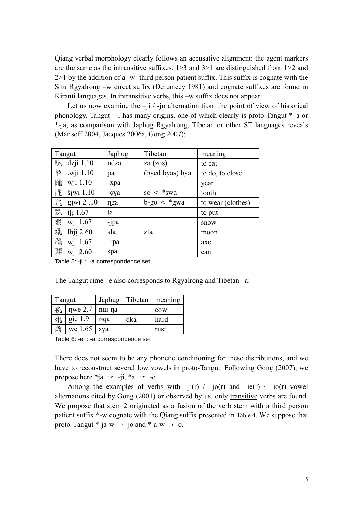Qiang verbal morphology clearly follows an accusative alignment: the agent markers are the same as the intransitive suffixes. 1>3 and 3>1 are distinguished from 1>2 and 2>1 by the addition of a -w- third person patient suffix. This suffix is cognate with the Situ Rgyalrong –w direct suffix (DeLancey 1981) and cognate suffixes are found in Kiranti languages. In intransitive verbs, this –w suffix does not appear.

Let us now examine the  $-i\mathrm{i}$  / -jo alternation from the point of view of historical phonology. Tangut –ji has many origins, one of which clearly is proto-Tangut \*–a or \*-ja, as comparison with Japhug Rgyalrong, Tibetan or other ST languages reveals (Matisoff 2004, Jacques 2006a, Gong 2007):

|   | Tangut         | Japhug | Tibetan            | meaning           |
|---|----------------|--------|--------------------|-------------------|
| 萊 | $dz$ ji 1.10   | ndza   | za (zos)           | to eat            |
| 務 | wji 1.10       | pa     | (byed byas) bya    | to do, to close   |
| 励 | wji 1.10       | -xpa   |                    | year              |
| 詬 | $s$ jwi $1.10$ | -çya   | so $\lt$ *swa      | tooth             |
| 薪 | gjwi $2.10$    | nga    | $b$ -go $\lt$ *gwa | to wear (clothes) |
| 颏 | tji 1.67       | ta     |                    | to put            |
| 淡 | wji 1.67       | -jpa   |                    | snow              |
| 癓 | lhji 2.60      | sla    | zla                | moon              |
| 黏 | wji 1.67       | -rpa   |                    | axe               |
| 豣 | wji 2.60       | spa    |                    | can               |

Table 5: -ji :: -a correspondence set

The Tangut rime –e also corresponds to Rgyalrong and Tibetan –a:

| Tangut |           | Japhug | Tibetan | meaning |  |
|--------|-----------|--------|---------|---------|--|
| 额      | nwe 2.7   | nu-na  |         | cow     |  |
| 谻      | gie $1.9$ | Nqa    | dka     | hard    |  |
| 我      | we 1.65   | sya    |         | rust    |  |

Table 6: -e :: -a correspondence set

There does not seem to be any phonetic conditioning for these distributions, and we have to reconstruct several low vowels in proto-Tangut. Following Gong (2007), we propose here \*ja  $\rightarrow$  -ji, \*a  $\rightarrow$  -e.

Among the examples of verbs with  $-i$  $i(r)$  /  $-i$  $o(r)$  and  $-i$  $e(r)$  /  $-i$  $o(r)$  vowel alternations cited by Gong (2001) or observed by us, only transitive verbs are found. We propose that stem 2 originated as a fusion of the verb stem with a third person patient suffix \*-w cognate with the Qiang suffix presented in Table 4. We suppose that proto-Tangut \*-ja-w  $\rightarrow$  -jo and \*-a-w  $\rightarrow$  -o.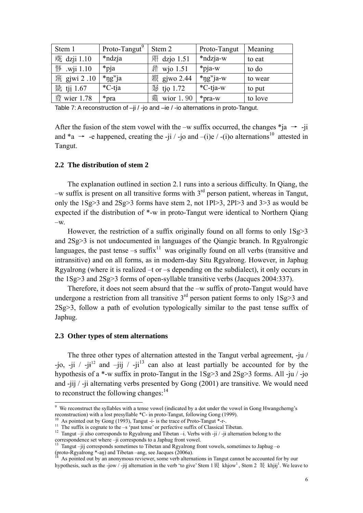| Stem 1              | Proto-Tangut <sup>9</sup> | Stem 2                              | Proto-Tangut             | Meaning |
|---------------------|---------------------------|-------------------------------------|--------------------------|---------|
| <b></b> @ dzji 1.10 | *ndzja                    | $\overline{\mathfrak{M}}$ dzjo 1.51 | *ndzja-w                 | to eat  |
| 移 .wji 1.10         | *pja                      | <i> m</i> io 1.51                   | $*$ pja-w                | to do   |
| 熟 gjwi 2 .10        | $*$ ng <sup>w</sup> ja    | <b>縱</b> gjwo 2.44                  | $*$ ng <sup>w</sup> ja-w | to wear |
| 熟 tji 1.67          | *C-tja                    | 豩<br>tjo 1.72                       | *C-tja-w                 | to put  |
| <b>霞</b> wier 1.78  | *pra                      | 燕<br>wior 1.90                      | *pra-w                   | to love |

Table 7: A reconstruction of  $-i$ i / -jo and -ie / -io alternations in proto-Tangut.

After the fusion of the stem vowel with the –w suffix occurred, the changes  $*$ ja  $\rightarrow$  -ji and \*a  $\rightarrow$  -e happened, creating the -ji / -jo and -(i)e / -(i)o alternations<sup>10</sup> attested in Tangut.

#### **2.2 The distribution of stem 2**

The explanation outlined in section 2.1 runs into a serious difficulty. In Qiang, the  $-w$  suffix is present on all transitive forms with  $3<sup>rd</sup>$  person patient, whereas in Tangut, only the 1Sg>3 and 2Sg>3 forms have stem 2, not 1Pl>3, 2Pl>3 and 3>3 as would be expected if the distribution of \*-w in proto-Tangut were identical to Northern Qiang  $-W$ .

However, the restriction of a suffix originally found on all forms to only  $1Sg > 3$ and 2Sg>3 is not undocumented in languages of the Qiangic branch. In Rgyalrongic languages, the past tense –s suffix<sup>11</sup> was originally found on all verbs (transitive and intransitive) and on all forms, as in modern-day Situ Rgyalrong. However, in Japhug Rgyalrong (where it is realized –t or –s depending on the subdialect), it only occurs in the 1Sg>3 and 2Sg>3 forms of open-syllable transitive verbs (Jacques 2004:337).

 Therefore, it does not seem absurd that the –w suffix of proto-Tangut would have undergone a restriction from all transitive  $3<sup>rd</sup>$  person patient forms to only  $1Sg \geq 3$  and 2Sg>3, follow a path of evolution typologically similar to the past tense suffix of Japhug.

#### **2.3 Other types of stem alternations**

-

 The three other types of alternation attested in the Tangut verbal agreement, -ju / -jo, -ji / -ji<sup>12</sup> and -jij / -ji<sup>13</sup> can also at least partially be accounted for by the hypothesis of a  $*$ -w suffix in proto-Tangut in the  $1Sg > 3$  and  $2Sg > 3$  forms. All -ju / -jo and -jij / -ji alternating verbs presented by Gong (2001) are transitive. We would need to reconstruct the following changes: $14$ 

<sup>&</sup>lt;sup>9</sup> We reconstruct the syllables with a tense vowel (indicated by a dot under the vowel in Gong Hwangcherng's reconstruction) with a lost presyllable \*C- in proto-Tangut, following Gong (1999).<br><sup>10</sup> As pointed out by Gong (1993), Tangut -i- is the trace of Proto-Tangut \*-r-.<br><sup>11</sup> The suffix is cognate to the -s 'past tense' or per

<sup>&</sup>lt;sup>12</sup> Tangut –ji also corresponds to Rgyalrong and Tibetan –i. Verbs with -ji / -ji alternation belong to the correspondence set where –ji corresponds to a Japhug front vowel.

<sup>&</sup>lt;sup>13</sup> Tangut –jij corresponds sometimes to Tibetan and Rgyalrong front vowels, sometimes to Japhug –o (proto-Rgyalrong \*-an) and Tibetan –ang, see Jacques (2006a).

As pointed out by an anonymous reviewer, some verb alternations in Tangut cannot be accounted for by our hypothesis, such as the -jow / -jij alternation in the verb 'to give' Stem 1  $\mathbb R$  khjow<sup>1</sup>, Stem 2  $\mathbb R$  khjij<sup>1</sup>. We leave to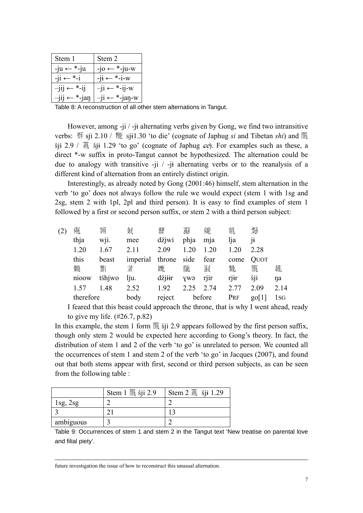| Stem 1                     | Stem 2                                    |
|----------------------------|-------------------------------------------|
| $-ju \leftarrow *-ju$      | $-10 \leftarrow$ *-ju-w                   |
| $-i1 \leftarrow * -i$      | $-i$ <b>i</b> $\leftarrow$ *- <b>i</b> -w |
| $-jij \leftarrow *-ij$     | $-ji \leftarrow *-ij-w$                   |
| $\leftarrow$ *-jan<br>-111 | $-ji \leftarrow *-jan-w$                  |

Table 8: A reconstruction of all other stem alternations in Tangut.

However, among -ji / -jɨ alternating verbs given by Gong, we find two intransitive verbs: 俗 sji 2.10 / 糤 sji1.30 'to die' (cognate of Japhug *si* and Tibetan *shi*) and 間  $\sin 2.9 / \frac{\pi}{10}$  s<sup>i</sup>i 1.29 'to go' (cognate of Japhug *ce*). For examples such as these, a direct \*-w suffix in proto-Tangut cannot be hypothesized. The alternation could be due to analogy with transitive -ji / -jɨ alternating verbs or to the reanalysis of a different kind of alternation from an entirely distinct origin.

Interestingly, as already noted by Gong (2001:46) himself, stem alternation in the verb 'to go' does not always follow the rule we would expect (stem 1 with 1sg and 2sg, stem 2 with 1pl, 2pl and third person). It is easy to find examples of stem 1 followed by a first or second person suffix, or stem 2 with a third person subject:

| (2) | 雍         | 猁      | 紁        | 鄉      | 羽    | 繗      | 喘    | 努              |      |
|-----|-----------|--------|----------|--------|------|--------|------|----------------|------|
|     | thja      | wji.   | mee      | dźjwi  | phja | mja    | lja  | 1 <sup>1</sup> |      |
|     | 1.20      | 1.67   | 2.11     | 2.09   | 1.20 | 1.20   | 1.20 | 2.28           |      |
|     | this      | beast  | imperial | throne | side | fear   | come | <b>QUOT</b>    |      |
|     | 继         | 斴      | 矛        | 癓      | 栩    | 憝      | 黏    | 瀧              | 痲    |
|     | nioow     | tśhjwo | lju.     | dźjiir | ywə  | rjir   | rjir | śji            | na   |
|     | 1.57      | 1.48   | 2.52     | 1.92   | 2.25 | 2.74   | 2.77 | 2.09           | 2.14 |
|     | therefore |        | body     | reject |      | before | PRF  | go[1]          | 1sg  |

I feared that this beast could approach the throne, that is why I went ahead, ready to give my life. (#26.7, p.82)

In this example, the stem 1 form  $\ddot{\mathbb{R}}$  siji 2.9 appears followed by the first person suffix, though only stem 2 would be expected here according to Gong's theory. In fact, the distribution of stem 1 and 2 of the verb 'to go' is unrelated to person. We counted all the occurrences of stem 1 and stem 2 of the verb 'to go' in Jacques (2007), and found out that both stems appear with first, second or third person subjects, as can be seen from the following table :

|           | Stem 1 $\ddot{\mathbb{R}}$ sji 2.9 | Stem $2 \frac{3\pi}{16}$ sji 1.29 |
|-----------|------------------------------------|-----------------------------------|
| lsg,      |                                    |                                   |
|           |                                    |                                   |
| ambiguous |                                    |                                   |

Table 9: Occurrences of stem 1 and stem 2 in the Tangut text 'New treatise on parental love and filial piety'.

future investigation the issue of how to reconstruct this unusual alternation.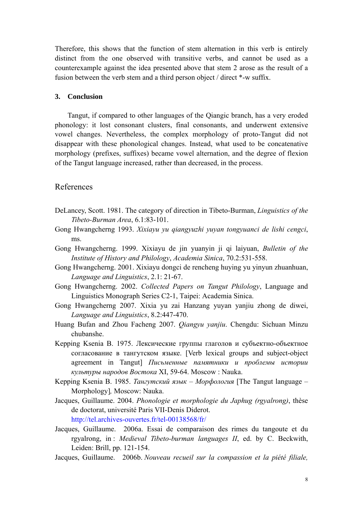Therefore, this shows that the function of stem alternation in this verb is entirely distinct from the one observed with transitive verbs, and cannot be used as a counterexample against the idea presented above that stem 2 arose as the result of a fusion between the verb stem and a third person object / direct \*-w suffix.

#### **3. Conclusion**

Tangut, if compared to other languages of the Qiangic branch, has a very eroded phonology: it lost consonant clusters, final consonants, and underwent extensive vowel changes. Nevertheless, the complex morphology of proto-Tangut did not disappear with these phonological changes. Instead, what used to be concatenative morphology (prefixes, suffixes) became vowel alternation, and the degree of flexion of the Tangut language increased, rather than decreased, in the process.

### References

- DeLancey, Scott. 1981. The category of direction in Tibeto-Burman, *Linguistics of the Tibeto-Burman Area*, 6.1:83-101.
- Gong Hwangcherng 1993. *Xixiayu yu qiangyuzhi yuyan tongyuanci de lishi cengci*, ms.
- Gong Hwangcherng. 1999. Xixiayu de jin yuanyin ji qi laiyuan, *Bulletin of the Institute of History and Philology*, *Academia Sinica*, 70.2:531-558.
- Gong Hwangcherng. 2001. Xixiayu dongci de rencheng huying yu yinyun zhuanhuan, *Language and Linguistics*, 2.1: 21-67.
- Gong Hwangcherng. 2002. *Collected Papers on Tangut Philology*, Language and Linguistics Monograph Series C2-1, Taipei: Academia Sinica.
- Gong Hwangcherng 2007. Xixia yu zai Hanzang yuyan yanjiu zhong de diwei, *Language and Linguistics*, 8.2:447-470.
- Huang Bufan and Zhou Facheng 2007. *Qiangyu yanjiu*. Chengdu: Sichuan Minzu chubanshe.
- Kepping Ksenia B. 1975. Лексические группы глаголов и субъектно-объектное согласование в тангутском языке. [Verb lexical groups and subject-object agreement in Tangut] *Письменные памятники и проблемы истории культуры народов Востока* XI, 59-64. Moscow : Nauka.
- Kepping Ksenia B. 1985. *Тангутский язык Морфология* [The Tangut language Morphology]*,* Moscow: Nauka.
- Jacques, Guillaume. 2004. *Phonologie et morphologie du Japhug (rgyalrong)*, thèse de doctorat, université Paris VII-Denis Diderot. http://tel.archives-ouvertes.fr/tel-00138568/fr/
- Jacques, Guillaume. 2006a. Essai de comparaison des rimes du tangoute et du rgyalrong, in : *Medieval Tibeto-burman languages II*, ed. by C. Beckwith, Leiden: Brill, pp. 121-154.
- Jacques, Guillaume. 2006b. *Nouveau recueil sur la compassion et la piété filiale,*